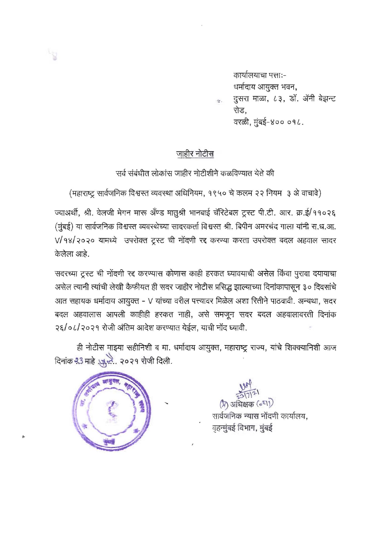कार्यालयाचा पत्ता:-धर्मादाय आयुक्त भवन, दुसरा माळा, ८३, डॉ. ॲनी बेझन्ट रोड. वरळी, मुंबई-४०० ०१८.

## जाहीर नोटीस

सर्व संबंधीत लोकांस जाहीर नोटीशीने कळविण्यात येते की

(महाराष्ट्र सार्वजनिक विश्वस्त व्यवस्था अधिनियम, १९५० चे कलम २२ नियम ३ अे वाचावे)

ज्याअर्थी, श्री. वेलजी मेगन मारू अँण्ड मातुश्री भानबाई चॅरिटेबल ट्रस्ट पी.टी. आर. क्र.ई/११०२६ (मुंबई) या सार्वजनिक विश्वस्त व्यवस्थेच्या सादरकर्ता विश्वस्त श्री. बिपीन अमरचंद गाला यांनी स.ध.आ. V/98/२०२० यामध्ये उपरोक्त ट्रस्ट ची नोंदणी रद्द करण्या करता उपरोक्त बदल अहवाल सादर केलेला आहे.

सदरच्या ट्रस्ट ची नोंदणी रद्द करण्यास कोणास काही हरकत घ्यावयाची असेल किंवा पुरावा दयायाचा असेल त्यानी त्यांची लेखी कैफीयत ही सदर जाहीर नोटीस प्रसिद्ध झाल्याच्या दिनांकापासून ३० दिवसांचे आत सहायक धर्मादाय आयुक्त - V यांच्या वरील पत्त्यावर मिळेल अशा रितीने पाठवावी. अन्यथा, सदर बदल अहवालास आपली काहीही हरकत नाही, असे समजून सदर बदल अहवालावरती दिनांक २६/०८/२०२१ रोजी अंतिम आदेश करण्यात येईल, याची नोंद घ्यावी.

ही नोटीस माझ्या सहीनिशी व मा. धर्मादाय आयुक्त, महाराष्ट्र राज्य, यांचे शिक्क्यानिशी आज दिनांक २3 माहे स्कूले.. २०२१ रोजी दिली.



 $\mathcal{C}$ 

 $(\lambda)$  अधिक्षक ( $\varepsilon$ घा)

सार्वजनिक न्यास नोंदणी कार्यालय. बृहन्मुंबई विभाग, मुंबई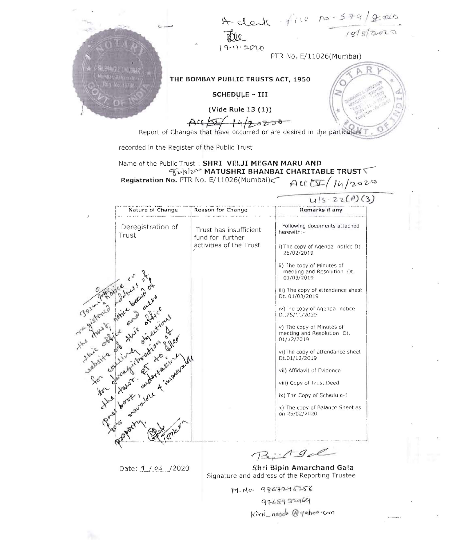A-clerk file no-579/gars  $19.112010$ PTR No. E/11026(Mumbai) THE BOMBAY PUBLIC TRUSTS ACT, 1950 SCHEDULE - III  $Vide$  Rule 13 $(1)$ Acc 14/2 8238 recorded in the Register of the Public Trust Name of the Public Trust: SHRI VELJI MEGAN MARU AND Fulgler MATUSHRI BHANBAI CHARITABLE TRUST Registration No. PTR No. E/11026(Mumbai)  $AC(\sqrt{14}/2020)$ 

| $\Lambda$ | Nature of Change           | Reason for Change                                                     | Remarks if any                                                         |
|-----------|----------------------------|-----------------------------------------------------------------------|------------------------------------------------------------------------|
|           | Deregistration of<br>Trust | Trust has insufficient<br>fund for further<br>activities of the Trust | Following documents attached<br>herewith:-                             |
|           |                            |                                                                       | i) The copy of Agenda notice Dt.<br>25/02/2019                         |
|           |                            |                                                                       | (i) The copy of Minutes of<br>meeting and Resolution Dt.<br>01/03/2019 |
|           |                            |                                                                       | iii) The copy of attendance sheet<br>Dt. 01/03/2019                    |
|           |                            |                                                                       | iv) The copy of Agenda notice<br>D.t25/11/2019                         |
|           |                            |                                                                       | v) The copy of Minutes of<br>meeting and Resolution Dt.<br>01/12/2019  |
|           | ste a land der kongeration |                                                                       | vi)The copy of altendance sheet<br>Dt.01/12/2019                       |
|           |                            |                                                                       | vii) Affidavil of Evidence                                             |
|           |                            |                                                                       | viii) Copy of Trust Deed                                               |
|           |                            |                                                                       | ix) The Copy of Schedule-I                                             |
|           |                            |                                                                       | x) The copy of Balance Sheet as<br>on 25/02/2020                       |
|           |                            |                                                                       |                                                                        |
|           |                            |                                                                       |                                                                        |

Date: 4 / 03 / 2020

 $AgdL$  $\sqrt{1-2}$ 

 $\frac{1}{115.22(A)(3)}$ 

Shri Bipin Amarchand Gala Signature and address of the Reporting Trustee

M. No. 9867245256

9768932969

Kirti\_nasdo @yothoo.com